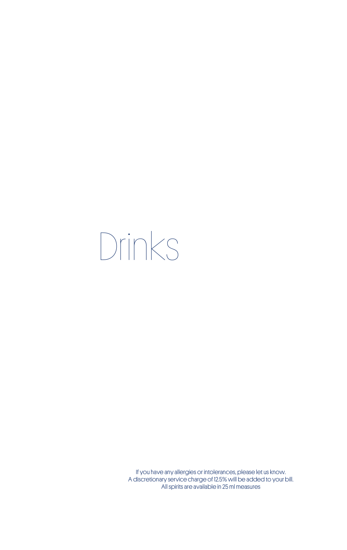# Drinks

If you have any allergies or intolerances, please let us know. A discretionary service charge of 12.5% will be added to your bill. All spirits are available in 25 ml measures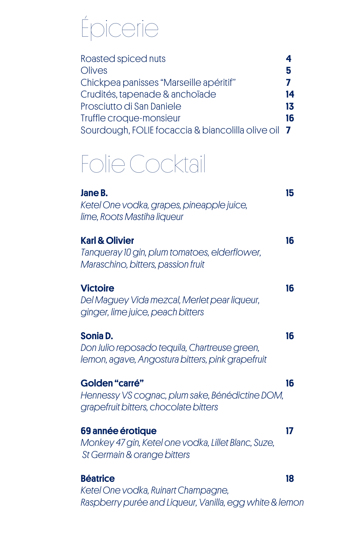## Épicerie

| Roasted spiced nuts                                 |    |
|-----------------------------------------------------|----|
| Olives                                              | 5  |
| Chickpea panisses "Marseille apéritif"              | 7  |
| Crudités, tapenade & anchoïade                      | 14 |
| Prosciutto di San Daniele                           | 13 |
| Truffle croque-monsieur                             | 16 |
| Sourdough, FOLIE focaccia & biancolilla olive oil 7 |    |

### Folie Cocktail

| Jane B.<br>Ketel One vodka, grapes, pineapple juice,<br>lime, Roots Mastiha liqueur                               | 15 |
|-------------------------------------------------------------------------------------------------------------------|----|
| <b>Karl &amp; Olivier</b><br>Tanqueray 10 gin, plum tomatoes, elderflower,<br>Maraschino, bitters, passion fruit  | 16 |
| <b>Victoire</b><br>Del Maguey Vida mezcal, Merlet pear liqueur,<br>ginger, lime juice, peach bitters              | 16 |
| Sonia D.<br>Don Julio reposado tequila, Chartreuse green,<br>lemon, agave, Angostura bitters, pink grapefruit     | 16 |
| <b>Golden "carré"</b><br>Hennessy VS cognac, plum sake, Bénédictine DOM,<br>grapefruit bitters, chocolate bitters | 16 |
| 69 année érotique<br>Monkey 47 gin, Ketel one vodka, Lillet Blanc, Suze,<br>St Germain & orange bitters           | 17 |
| <b>Béatrice</b><br>Ketel One vodka, Ruinart Champagne,<br>Raspberry purée and Liqueur, Vanilla, egg white & lemon | 18 |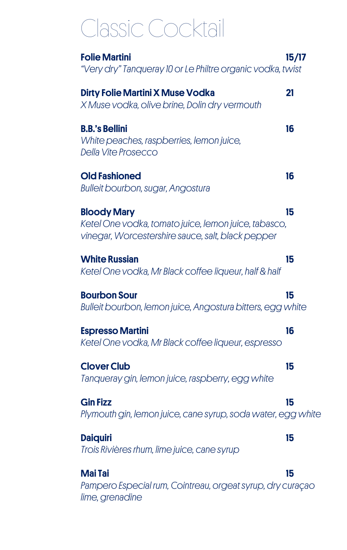### Classic Cocktail

| <b>Folie Martini</b><br>"Very dry" Tanqueray 10 or Le Philtre organic vodka, twist                                              | 15/17 |
|---------------------------------------------------------------------------------------------------------------------------------|-------|
| <b>Dirty Folie Martini X Muse Vodka</b><br>X Muse vodka, olive brine, Dolin dry vermouth                                        | 21    |
| <b>B.B.'s Bellini</b><br>White peaches, raspberries, lemon juice,<br><b>Della Vite Prosecco</b>                                 | 16    |
| <b>Old Fashioned</b><br><b>Bulleit bourbon, sugar, Angostura</b>                                                                | 16    |
| <b>Bloody Mary</b><br>Ketel One vodka, tomato juice, lemon juice, tabasco,<br>vinegar, Worcestershire sauce, salt, black pepper | 15    |
| <b>White Russian</b><br>Ketel One vodka, Mr Black coffee liqueur, half & half                                                   | 15    |
| <b>Bourbon Sour</b><br>Bulleit bourbon, lemon juice, Angostura bitters, egg white                                               | 15    |
| <b>Espresso Martini</b><br>Ketel One vodka, Mr Black coffee liqueur, espresso                                                   | 16    |
| <b>Clover Club</b><br>Tanqueray gin, lemon juice, raspberry, egg white                                                          | 15    |
| <b>Gin Fizz</b><br>Plymouth gin, lemon juice, cane syrup, soda water, egg white                                                 | 15    |
| <b>Daiquiri</b><br>Trois Rivières rhum, lime juice, cane syrup                                                                  | 15    |
| <b>Mai Tai</b><br>Pampero Especial rum, Cointreau, orgeat syrup, dry curação<br>lime, grenadine                                 | 15    |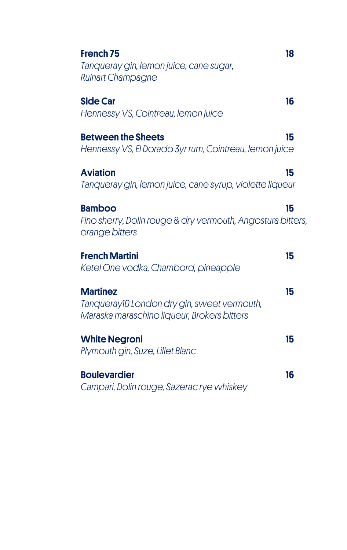| French <sub>75</sub><br>Tanqueray gin, lemon juice, cane sugar,<br><b>Ruinart Champagne</b>                   | 18 |
|---------------------------------------------------------------------------------------------------------------|----|
| <b>Side Car</b><br>Hennessy VS, Cointreau, lemon juice                                                        | 16 |
| <b>Between the Sheets</b><br>Hennessy VS, El Dorado 3yr rum, Cointreau, lemon juice                           | 15 |
| <b>Aviation</b><br>Tanqueray gin, lemon juice, cane syrup, violette liqueur                                   | 15 |
| <b>Bamboo</b><br>Fino sherry, Dolin rouge & dry vermouth, Angostura bitters,<br>orange bitters                | 15 |
| <b>French Martini</b><br>Ketel One vodka, Chambord, pineapple                                                 | 15 |
| <b>Martinez</b><br>Tanqueray10 London dry gin, sweet vermouth,<br>Maraska maraschino liqueur, Brokers bitters | 15 |
| <b>White Negroni</b><br>Plymouth gin, Suze, Lillet Blanc                                                      | 15 |
| <b>Boulevardier</b><br>Campari, Dolin rouge, Sazerac rye whiskey                                              | 16 |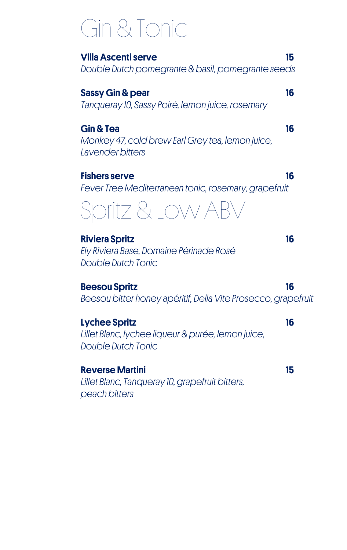### Gin & Tonic

Villa Ascenti serve 15 *Double Dutch pomegrante & basil, pomegrante seeds*

Sassy Gin & pear 16 *Tanqueray 10, Sassy Poiré, lemon juice, rosemary*

Gin & Tea 16 *Monkey 47, cold brew Earl Grey tea, lemon juice, Lavender bitters*

Fishers serve 16 *Fever Tree Mediterranean tonic, rosemary, grapefruit*

### Spritz & Low AI

Riviera Spritz 16 *Ely Riviera Base, Domaine Périnade Rosé Double Dutch Tonic*

Beesou Spritz 16 *Beesou bitter honey apéritif, Della Vite Prosecco, grapefruit*

Lychee Spritz 16 *Lillet Blanc, lychee liqueur & purée, lemon juice, Double Dutch Tonic*

Reverse Martini 15 *Lillet Blanc, Tanqueray 10, grapefruit bitters, peach bitters*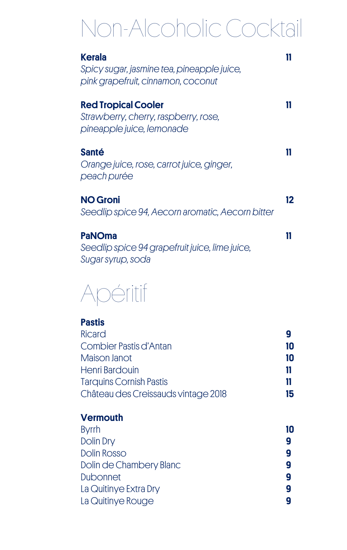### Non-Alcoholic Cocktail

| <b>Kerala</b><br>Spicy sugar, jasmine tea, pineapple juice,<br>pink grapefruit, cinnamon, coconut |    |
|---------------------------------------------------------------------------------------------------|----|
| <b>Red Tropical Cooler</b><br>Strawberry, cherry, raspberry, rose,<br>pineapple juice, lemonade   |    |
| <b>Santé</b><br>Orange juice, rose, carrot juice, ginger,<br>peach purée                          | 11 |
| <b>NO Groni</b><br>Seedlip spice 94, Aecorn aromatic, Aecorn bitter                               | 12 |
| <b>PaNOma</b>                                                                                     |    |

*Seedlip spice 94 grapefruit juice, lime juice, Sugar syrup, soda*



#### Pastis Ricard **9** Combier Pastis d'Antan **10** Maison Janot **10** Henri Bardouin **11** Tarquins Cornish Pastis 11 Château des Creissauds vintage 2018 15

#### **Vermouth** Byrrh **10** Dolin Dry 9 Dolin Rosso 9 Dolin de Chambery Blanc 9 Dubonnet **9** La Quitinye Extra Dry 9 La Quitinye Rouge **9**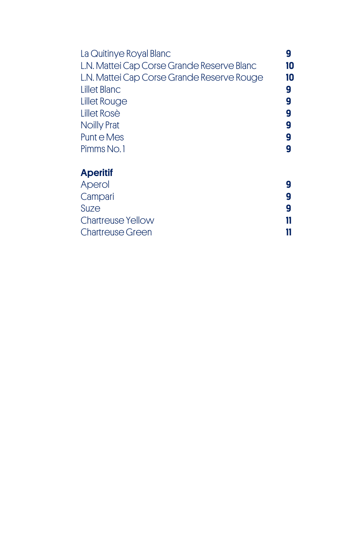| La Quitinye Royal Blanc                    |    |
|--------------------------------------------|----|
| L.N. Mattei Cap Corse Grande Reserve Blanc | 10 |
| L.N. Mattei Cap Corse Grande Reserve Rouge | 10 |
| <b>Lillet Blanc</b>                        | g  |
| Lillet Rouge                               | g  |
| Lillet Rosè                                | g  |
| <b>Noilly Prat</b>                         | g  |
| Punt e Mes                                 | g  |
| Pimms No.1                                 |    |
| <b>Aperitif</b>                            |    |
| Aperol                                     |    |
| Campari                                    |    |

| Suze                    |  |
|-------------------------|--|
| Chartreuse Yellow       |  |
| <b>Chartreuse Green</b> |  |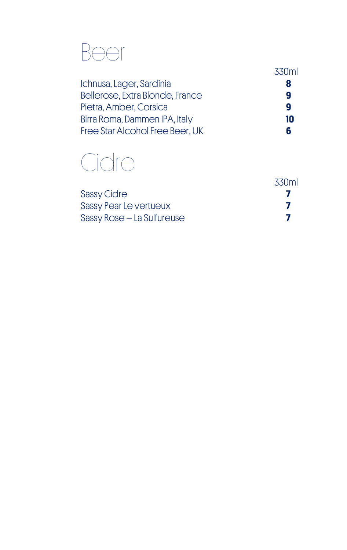### Beer

|                                 | 330ml |
|---------------------------------|-------|
| Ichnusa, Lager, Sardinia        |       |
| Bellerose, Extra Blonde, France |       |
| Pietra, Amber, Corsica          | q     |
| Birra Roma, Dammen IPA, Italy   | 10    |
| Free Star Alcohol Free Beer, UK |       |

### Cidre

|                            | .330ml |
|----------------------------|--------|
| <b>Sassy Cidre</b>         |        |
| Sassy Pear Le vertueux     |        |
| Sassy Rose - La Sulfureuse |        |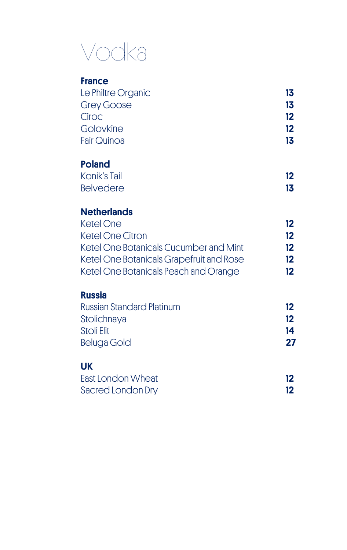### Vodka

#### **France**

| Le Philtre Organic | 13  |
|--------------------|-----|
| <b>Grey Goose</b>  | 13  |
| Ciroc              | 12  |
| Golovkine          | 12  |
| <b>Fair Quinoa</b> | 13. |

#### Poland

| Konik's Tail     | 12 |
|------------------|----|
| <b>Belvedere</b> | 13 |

#### **Netherlands**

| Ketel One                                | 12      |
|------------------------------------------|---------|
| <b>Ketel One Citron</b>                  | $12 \,$ |
| Ketel One Botanicals Cucumber and Mint   | 12      |
| Ketel One Botanicals Grapefruit and Rose | 12      |
| Ketel One Botanicals Peach and Orange    | 12      |

#### Russia

| <b>Russian Standard Platinum</b> | 12 <sup>°</sup> |
|----------------------------------|-----------------|
| Stolichnaya                      | 12              |
| Stoli Elit                       | 14              |
| Beluga Gold                      | 27              |
|                                  |                 |

#### UK

| East London Wheat |  |
|-------------------|--|
| Sacred London Dry |  |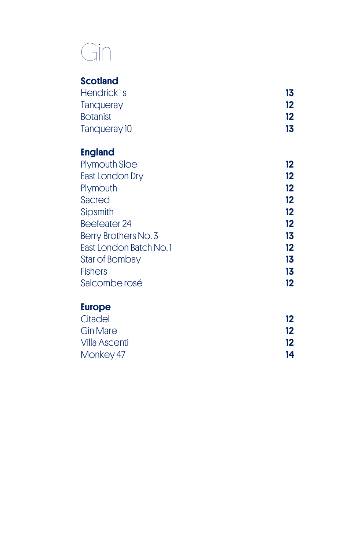### Gin

#### **Scotland**

| 13 |
|----|
| 12 |
| 12 |
| 13 |
|    |

#### England

| <b>Plymouth Sloe</b>   | 12.               |
|------------------------|-------------------|
| <b>East London Dry</b> | $12 \overline{ }$ |
| Plymouth               | 12                |
| Sacred                 | 12                |
| Sipsmith               | 12                |
| Beefeater 24           | 12                |
| Berry Brothers No. 3   | 13                |
| East London Batch No.1 | 12                |
| Star of Bombay         | 13                |
| <b>Fishers</b>         | 13                |
| Salcombe rosé          | 12                |
|                        |                   |

#### Europe

| 12 |
|----|
| 12 |
| 12 |
| 14 |
|    |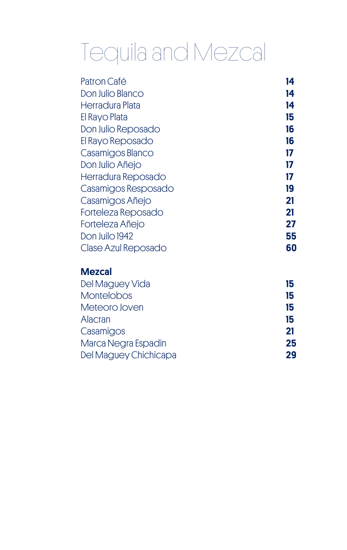### Tequila and Mezcal

| Patron Café              | 14  |
|--------------------------|-----|
| Don Julio Blanco         | 14  |
| Herradura Plata          | 14  |
| El Rayo Plata            | 15  |
| Don Julio Reposado       | 16  |
| El Rayo Reposado         | 16  |
| Casamigos Blanco         | 17  |
| Don Julio Añejo          | 17  |
| Herradura Reposado       | 17  |
| Casamigos Resposado      | 19  |
| Casamigos Añejo          | 21  |
| Forteleza Reposado       | 21  |
| Forteleza Añejo          | 27  |
| Don Juilo 1942           | 55  |
| Clase Azul Reposado      | 60  |
| <b>Mezcal</b>            |     |
| Del Magueri <i>Liele</i> | . . |

| Del Maguey Vida       | 15 |
|-----------------------|----|
| <b>Montelobos</b>     | 15 |
| Meteoro Joven         | 15 |
| Alacran               | 15 |
| Casamigos             | 21 |
| Marca Negra Espadin   | 25 |
| Del Maguey Chichicapa | 29 |
|                       |    |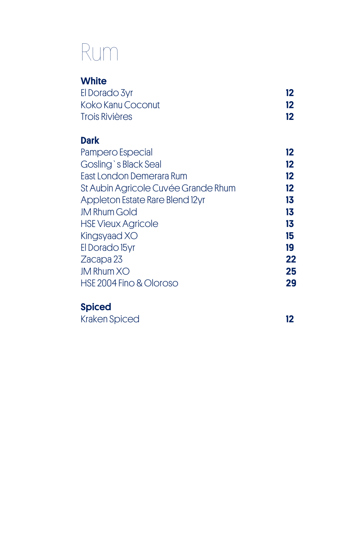### Rum

| <b>White</b>          |    |
|-----------------------|----|
| El Dorado 3yr         | 12 |
| Koko Kanu Coconut     | 12 |
| <b>Trois Rivières</b> | 12 |

#### **Dark**

| Pampero Especial                    | 12      |
|-------------------------------------|---------|
| Gosling's Black Seal                | $12 \,$ |
| East London Demerara Rum            | $12 \,$ |
| St Aubin Agricole Cuvée Grande Rhum | $12 \,$ |
| Appleton Estate Rare Blend 12yr     | 13      |
| <b>JM Rhum Gold</b>                 | 13      |
| <b>HSE Vieux Agricole</b>           | 13      |
| Kingsyaad XO                        | 15      |
| El Dorado 15yr                      | 19      |
| Zacapa 23                           | 22      |
| <b>JM Rhum XO</b>                   | 25      |
| HSE 2004 Fino & Oloroso             | 29      |
|                                     |         |

#### Spiced

| Kraken Spiced |  |
|---------------|--|
|               |  |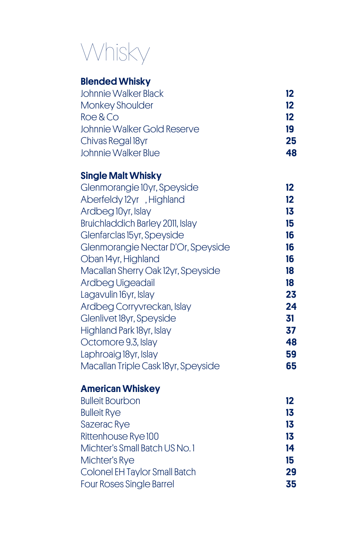### Whisky

#### Blended Whisky

| <b>Johnnie Walker Black</b> | 12 |
|-----------------------------|----|
| <b>Monkey Shoulder</b>      | 12 |
| Roe & Co                    | 12 |
| Johnnie Walker Gold Reserve | 19 |
| Chivas Regal 18yr           | 25 |
| Johnnie Walker Blue         | 48 |

#### Single Malt Whisky

| Glenmorangie 10yr, Speyside         | $12 \overline{ }$ |
|-------------------------------------|-------------------|
| Aberfeldy 12yr, Highland            | 12                |
| Ardbeg 10yr, Islay                  | 13                |
| Bruichladdich Barley 2011, Islay    | 15                |
| Glenfarclas 15yr, Speyside          | 16                |
| Glenmorangie Nectar D'Or, Speyside  | 16                |
| Oban 14yr, Highland                 | 16                |
| Macallan Sherry Oak 12yr, Speyside  | 18                |
| Ardbeg Uigeadail                    | 18                |
| Lagavulin 16yr, Islay               | 23                |
| Ardbeg Corryvreckan, Islay          | 24                |
| Glenlivet 18yr, Speyside            | 31                |
| Highland Park 18yr, Islay           | 37                |
| Octomore 9.3, Islay                 | 48                |
| Laphroaig 18yr, Islay               | 59                |
| Macallan Triple Cask 18yr, Speyside | 65                |
|                                     |                   |

#### American Whiskey

| 12 |
|----|
| 13 |
| 13 |
| 13 |
| 14 |
| 15 |
| 29 |
| 35 |
|    |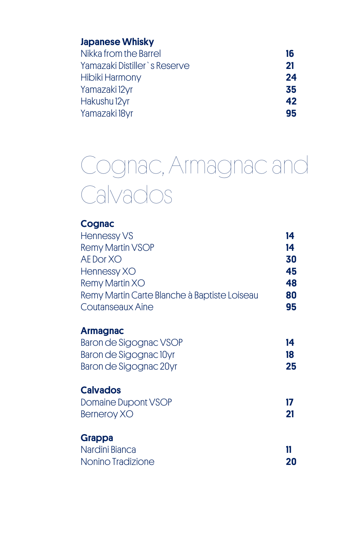| <b>Japanese Whisky</b> |  |
|------------------------|--|
|------------------------|--|

| 16 |
|----|
| 21 |
| 24 |
| 35 |
| 42 |
| 95 |
|    |

### Cognac, Armagnac and Calvados

| <b>Cognac</b>                                |    |
|----------------------------------------------|----|
| <b>Hennessy VS</b>                           | 14 |
| <b>Remy Martin VSOP</b>                      | 14 |
| AE Dor XO                                    | 30 |
| Hennessy XO                                  | 45 |
| Remy Martin XO                               | 48 |
| Remy Martin Carte Blanche à Baptiste Loiseau | 80 |
| Coutanseaux Aine                             | 95 |
| <b>Armagnac</b>                              |    |
| Baron de Sigognac VSOP                       | 14 |
| Baron de Sigognac 10yr                       | 18 |
| Baron de Sigognac 20yr                       | 25 |
| <b>Calvados</b>                              |    |
| <b>Domaine Dupont VSOP</b>                   | 17 |
| <b>Berneroy XO</b>                           | 21 |
| <b>Grappa</b>                                |    |
| Nardini Bianca                               | 11 |
| Nonino Tradizione                            | 20 |
|                                              |    |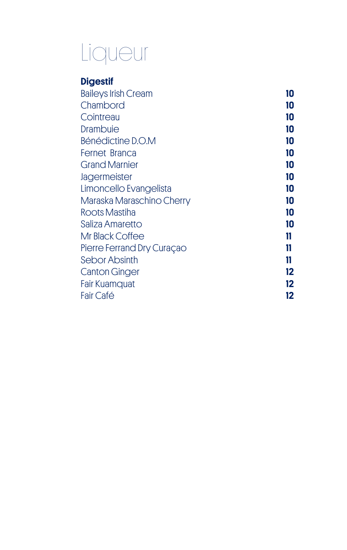### Liqueur

### Digestif

| <b>Baileys Irish Cream</b> | 10 |
|----------------------------|----|
| Chambord                   | 10 |
| Cointreau                  | 10 |
| Drambuie                   | 10 |
| Bénédictine D.O.M          | 10 |
| Fernet Branca              | 10 |
| <b>Grand Marnier</b>       | 10 |
| Jagermeister               | 10 |
| Limoncello Evangelista     | 10 |
| Maraska Maraschino Cherry  | 10 |
| Roots Mastiha              | 10 |
| Saliza Amaretto            | 10 |
| Mr Black Coffee            | 11 |
| Pierre Ferrand Dry Curaçao | 11 |
| Sebor Absinth              | 11 |
| <b>Canton Ginger</b>       | 12 |
| <b>Fair Kuamquat</b>       | 12 |
| Fair Café                  | 12 |
|                            |    |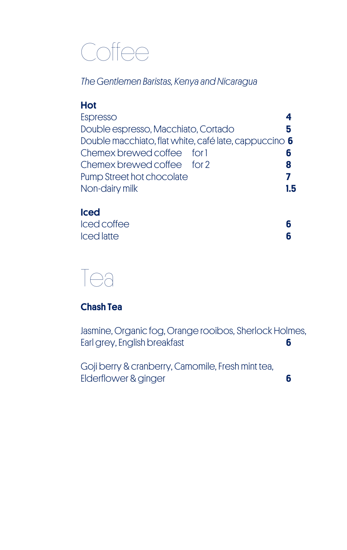### **Coffee**

*The Gentlemen Baristas, Kenya and Nicaragua*

#### Hot

| Espresso                                              |     |  |
|-------------------------------------------------------|-----|--|
| Double espresso, Macchiato, Cortado                   | 5   |  |
| Double macchiato, flat white, café late, cappuccino 6 |     |  |
| Chemex brewed coffee for 1                            |     |  |
| Chemex brewed coffee for 2                            | 8   |  |
| Pump Street hot chocolate                             |     |  |
| Non-dairy milk                                        | 1.5 |  |
|                                                       |     |  |

#### Iced

| Iced coffee       |  |
|-------------------|--|
| <b>Iced latte</b> |  |



#### Chash Tea

Jasmine, Organic fog, Orange rooibos, Sherlock Holmes, Earl grey, English breakfast **6** 

Goji berry & cranberry, Camomile, Fresh mint tea, Elderflower & ginger 6